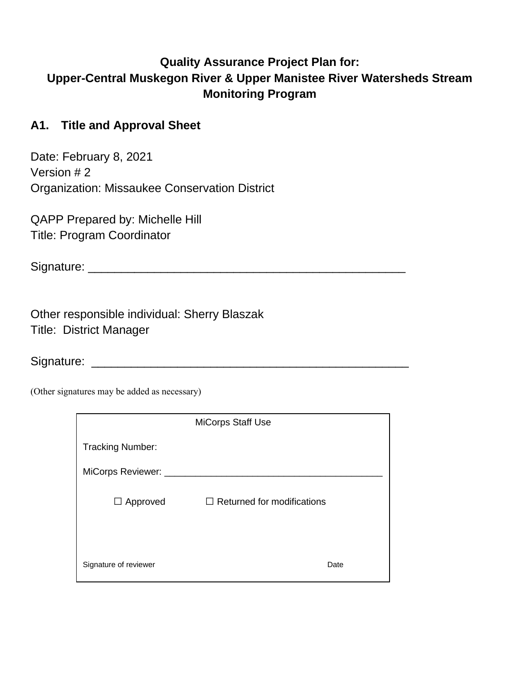# **Quality Assurance Project Plan for: Upper-Central Muskegon River & Upper Manistee River Watersheds Stream Monitoring Program**

## **A1. Title and Approval Sheet**

Date: February 8, 2021 Version # 2 Organization: Missaukee Conservation District

QAPP Prepared by: Michelle Hill Title: Program Coordinator

Signature: \_\_\_\_\_\_\_\_\_\_\_\_\_\_\_\_\_\_\_\_\_\_\_\_\_\_\_\_\_\_\_\_\_\_\_\_\_\_\_\_\_\_\_\_\_\_\_\_

Other responsible individual: Sherry Blaszak Title: District Manager

Signature: \_\_\_\_\_\_\_\_\_\_\_\_\_\_\_\_\_\_\_\_\_\_\_\_\_\_\_\_\_\_\_\_\_\_\_\_\_\_\_\_\_\_\_\_\_\_\_\_

(Other signatures may be added as necessary)

|                         | <b>MiCorps Staff Use</b>          |
|-------------------------|-----------------------------------|
| <b>Tracking Number:</b> |                                   |
| MiCorps Reviewer: __    |                                   |
| $\Box$ Approved         | $\Box$ Returned for modifications |
| Signature of reviewer   | Date                              |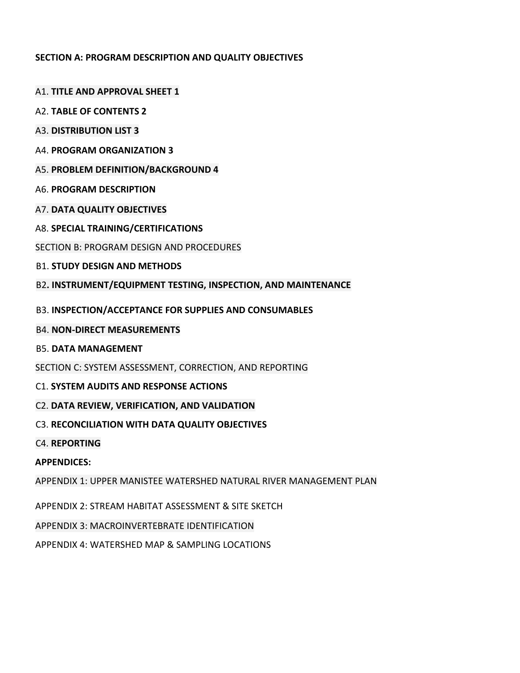### **SECTION A: PROGRAM DESCRIPTION AND QUALITY OBJECTIVES**

- A1. **TITLE AND APPROVAL SHEET 1**
- A2. **TABLE OF CONTENTS 2**
- A3. **DISTRIBUTION LIST 3**
- A4. **PROGRAM ORGANIZATION 3**
- A5. **PROBLEM DEFINITION/BACKGROUND 4**
- A6. **PROGRAM DESCRIPTION**
- A7. **DATA QUALITY OBJECTIVES**
- A8. **SPECIAL TRAINING/CERTIFICATIONS**
- SECTION B: PROGRAM DESIGN AND PROCEDURES
- B1. **STUDY DESIGN AND METHODS**
- B2**. INSTRUMENT/EQUIPMENT TESTING, INSPECTION, AND MAINTENANCE**
- B3. **INSPECTION/ACCEPTANCE FOR SUPPLIES AND CONSUMABLES**
- B4. **NON-DIRECT MEASUREMENTS**
- B5. **DATA MANAGEMENT**
- SECTION C: SYSTEM ASSESSMENT, CORRECTION, AND REPORTING
- C1. **SYSTEM AUDITS AND RESPONSE ACTIONS**
- C2. **DATA REVIEW, VERIFICATION, AND VALIDATION**
- C3. **RECONCILIATION WITH DATA QUALITY OBJECTIVES**
- C4. **REPORTING**
- **APPENDICES:**
- APPENDIX 1: UPPER MANISTEE WATERSHED NATURAL RIVER MANAGEMENT PLAN
- APPENDIX 2: STREAM HABITAT ASSESSMENT & SITE SKETCH
- APPENDIX 3: MACROINVERTEBRATE IDENTIFICATION
- APPENDIX 4: WATERSHED MAP & SAMPLING LOCATIONS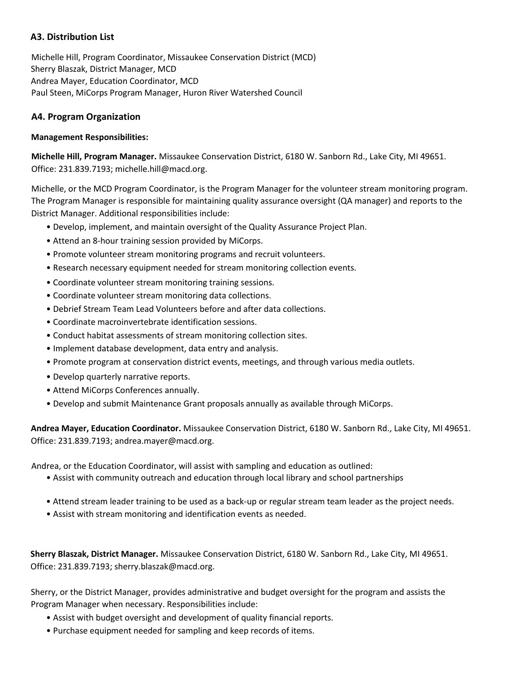### **A3. Distribution List**

Michelle Hill, Program Coordinator, Missaukee Conservation District (MCD) Sherry Blaszak, District Manager, MCD Andrea Mayer, Education Coordinator, MCD Paul Steen, MiCorps Program Manager, Huron River Watershed Council

### **A4. Program Organization**

#### **Management Responsibilities:**

**Michelle Hill, Program Manager.** Missaukee Conservation District, 6180 W. Sanborn Rd., Lake City, MI 49651. Office: 231.839.7193; michelle.hill@macd.org.

Michelle, or the MCD Program Coordinator, is the Program Manager for the volunteer stream monitoring program. The Program Manager is responsible for maintaining quality assurance oversight (QA manager) and reports to the District Manager. Additional responsibilities include:

- Develop, implement, and maintain oversight of the Quality Assurance Project Plan.
- Attend an 8-hour training session provided by MiCorps.
- Promote volunteer stream monitoring programs and recruit volunteers.
- Research necessary equipment needed for stream monitoring collection events.
- Coordinate volunteer stream monitoring training sessions.
- Coordinate volunteer stream monitoring data collections.
- Debrief Stream Team Lead Volunteers before and after data collections.
- Coordinate macroinvertebrate identification sessions.
- Conduct habitat assessments of stream monitoring collection sites.
- Implement database development, data entry and analysis.
- Promote program at conservation district events, meetings, and through various media outlets.
- Develop quarterly narrative reports.
- Attend MiCorps Conferences annually.
- Develop and submit Maintenance Grant proposals annually as available through MiCorps.

**Andrea Mayer, Education Coordinator.** Missaukee Conservation District, 6180 W. Sanborn Rd., Lake City, MI 49651. Office: 231.839.7193; andrea.mayer@macd.org.

Andrea, or the Education Coordinator, will assist with sampling and education as outlined:

- Assist with community outreach and education through local library and school partnerships
- Attend stream leader training to be used as a back-up or regular stream team leader as the project needs.
- Assist with stream monitoring and identification events as needed.

**Sherry Blaszak, District Manager.** Missaukee Conservation District, 6180 W. Sanborn Rd., Lake City, MI 49651. Office: 231.839.7193; sherry.blaszak@macd.org.

Sherry, or the District Manager, provides administrative and budget oversight for the program and assists the Program Manager when necessary. Responsibilities include:

- Assist with budget oversight and development of quality financial reports.
- Purchase equipment needed for sampling and keep records of items.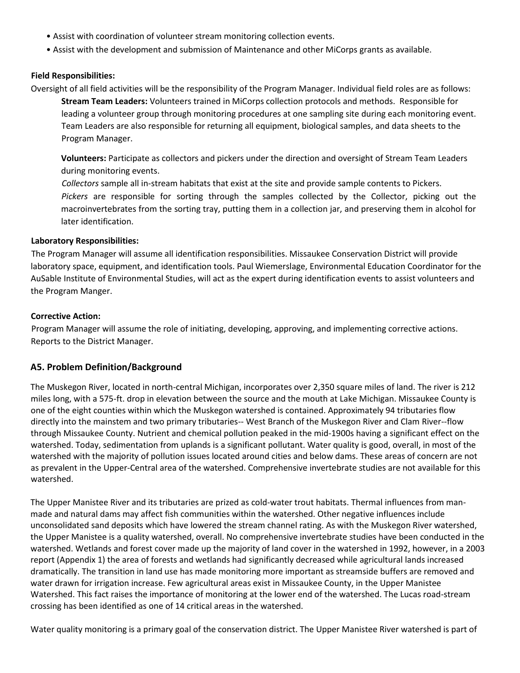- Assist with coordination of volunteer stream monitoring collection events.
- Assist with the development and submission of Maintenance and other MiCorps grants as available.

#### **Field Responsibilities:**

Oversight of all field activities will be the responsibility of the Program Manager. Individual field roles are as follows:

**Stream Team Leaders:** Volunteers trained in MiCorps collection protocols and methods. Responsible for leading a volunteer group through monitoring procedures at one sampling site during each monitoring event. Team Leaders are also responsible for returning all equipment, biological samples, and data sheets to the Program Manager.

**Volunteers:** Participate as collectors and pickers under the direction and oversight of Stream Team Leaders during monitoring events.

*Collectors* sample all in-stream habitats that exist at the site and provide sample contents to Pickers. *Pickers* are responsible for sorting through the samples collected by the Collector, picking out the macroinvertebrates from the sorting tray, putting them in a collection jar, and preserving them in alcohol for later identification.

#### **Laboratory Responsibilities:**

The Program Manager will assume all identification responsibilities. Missaukee Conservation District will provide laboratory space, equipment, and identification tools. Paul Wiemerslage, Environmental Education Coordinator for the AuSable Institute of Environmental Studies, will act as the expert during identification events to assist volunteers and the Program Manger.

#### **Corrective Action:**

Program Manager will assume the role of initiating, developing, approving, and implementing corrective actions. Reports to the District Manager.

#### **A5. Problem Definition/Background**

The Muskegon River, located in north-central Michigan, incorporates over 2,350 square miles of land. The river is 212 miles long, with a 575-ft. drop in elevation between the source and the mouth at Lake Michigan. Missaukee County is one of the eight counties within which the Muskegon watershed is contained. Approximately 94 tributaries flow directly into the mainstem and two primary tributaries-- West Branch of the Muskegon River and Clam River--flow through Missaukee County. Nutrient and chemical pollution peaked in the mid-1900s having a significant effect on the watershed. Today, sedimentation from uplands is a significant pollutant. Water quality is good, overall, in most of the watershed with the majority of pollution issues located around cities and below dams. These areas of concern are not as prevalent in the Upper-Central area of the watershed. Comprehensive invertebrate studies are not available for this watershed.

The Upper Manistee River and its tributaries are prized as cold-water trout habitats. Thermal influences from manmade and natural dams may affect fish communities within the watershed. Other negative influences include unconsolidated sand deposits which have lowered the stream channel rating. As with the Muskegon River watershed, the Upper Manistee is a quality watershed, overall. No comprehensive invertebrate studies have been conducted in the watershed. Wetlands and forest cover made up the majority of land cover in the watershed in 1992, however, in a 2003 report (Appendix 1) the area of forests and wetlands had significantly decreased while agricultural lands increased dramatically. The transition in land use has made monitoring more important as streamside buffers are removed and water drawn for irrigation increase. Few agricultural areas exist in Missaukee County, in the Upper Manistee Watershed. This fact raises the importance of monitoring at the lower end of the watershed. The Lucas road-stream crossing has been identified as one of 14 critical areas in the watershed.

Water quality monitoring is a primary goal of the conservation district. The Upper Manistee River watershed is part of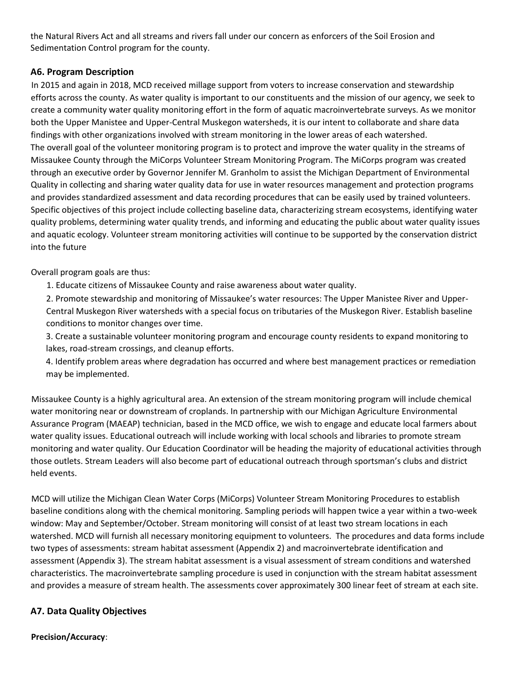the Natural Rivers Act and all streams and rivers fall under our concern as enforcers of the Soil Erosion and Sedimentation Control program for the county.

### **A6. Program Description**

In 2015 and again in 2018, MCD received millage support from voters to increase conservation and stewardship efforts across the county. As water quality is important to our constituents and the mission of our agency, we seek to create a community water quality monitoring effort in the form of aquatic macroinvertebrate surveys. As we monitor both the Upper Manistee and Upper-Central Muskegon watersheds, it is our intent to collaborate and share data findings with other organizations involved with stream monitoring in the lower areas of each watershed. The overall goal of the volunteer monitoring program is to protect and improve the water quality in the streams of Missaukee County through the MiCorps Volunteer Stream Monitoring Program. The MiCorps program was created through an executive order by Governor Jennifer M. Granholm to assist the Michigan Department of Environmental Quality in collecting and sharing water quality data for use in water resources management and protection programs and provides standardized assessment and data recording procedures that can be easily used by trained volunteers. Specific objectives of this project include collecting baseline data, characterizing stream ecosystems, identifying water quality problems, determining water quality trends, and informing and educating the public about water quality issues and aquatic ecology. Volunteer stream monitoring activities will continue to be supported by the conservation district

into the future

Overall program goals are thus:

1. Educate citizens of Missaukee County and raise awareness about water quality.

2. Promote stewardship and monitoring of Missaukee's water resources: The Upper Manistee River and Upper-Central Muskegon River watersheds with a special focus on tributaries of the Muskegon River. Establish baseline conditions to monitor changes over time.

3. Create a sustainable volunteer monitoring program and encourage county residents to expand monitoring to lakes, road-stream crossings, and cleanup efforts.

4. Identify problem areas where degradation has occurred and where best management practices or remediation may be implemented.

Missaukee County is a highly agricultural area. An extension of the stream monitoring program will include chemical water monitoring near or downstream of croplands. In partnership with our Michigan Agriculture Environmental Assurance Program (MAEAP) technician, based in the MCD office, we wish to engage and educate local farmers about water quality issues. Educational outreach will include working with local schools and libraries to promote stream monitoring and water quality. Our Education Coordinator will be heading the majority of educational activities through those outlets. Stream Leaders will also become part of educational outreach through sportsman's clubs and district held events.

MCD will utilize the Michigan Clean Water Corps (MiCorps) Volunteer Stream Monitoring Procedures to establish baseline conditions along with the chemical monitoring. Sampling periods will happen twice a year within a two-week window: May and September/October. Stream monitoring will consist of at least two stream locations in each watershed. MCD will furnish all necessary monitoring equipment to volunteers. The procedures and data forms include two types of assessments: stream habitat assessment (Appendix 2) and macroinvertebrate identification and assessment (Appendix 3). The stream habitat assessment is a visual assessment of stream conditions and watershed characteristics. The macroinvertebrate sampling procedure is used in conjunction with the stream habitat assessment and provides a measure of stream health. The assessments cover approximately 300 linear feet of stream at each site.

### **A7. Data Quality Objectives**

**Precision/Accuracy**: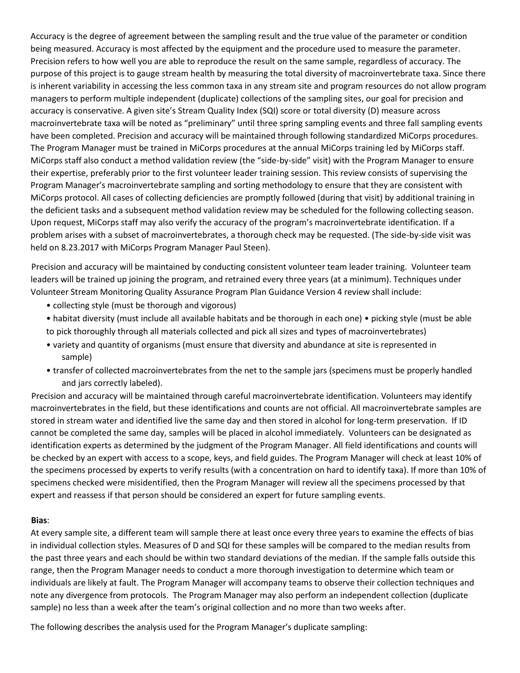Accuracy is the degree of agreement between the sampling result and the true value of the parameter or condition being measured. Accuracy is most affected by the equipment and the procedure used to measure the parameter. Precision refers to how well you are able to reproduce the result on the same sample, regardless of accuracy. The purpose of this project is to gauge stream health by measuring the total diversity of macroinvertebrate taxa. Since there is inherent variability in accessing the less common taxa in any stream site and program resources do not allow program managers to perform multiple independent (duplicate) collections of the sampling sites, our goal for precision and accuracy is conservative. A given site's Stream Quality Index (SQI) score or total diversity (D) measure across macroinvertebrate taxa will be noted as "preliminary" until three spring sampling events and three fall sampling events have been completed. Precision and accuracy will be maintained through following standardized MiCorps procedures. The Program Manager must be trained in MiCorps procedures at the annual MiCorps training led by MiCorps staff. MiCorps staff also conduct a method validation review (the "side-by-side" visit) with the Program Manager to ensure their expertise, preferably prior to the first volunteer leader training session. This review consists of supervising the Program Manager's macroinvertebrate sampling and sorting methodology to ensure that they are consistent with MiCorps protocol. All cases of collecting deficiencies are promptly followed (during that visit) by additional training in the deficient tasks and a subsequent method validation review may be scheduled for the following collecting season. Upon request, MiCorps staff may also verify the accuracy of the program's macroinvertebrate identification. If a problem arises with a subset of macroinvertebrates, a thorough check may be requested. (The side-by-side visit was held on 8.23.2017 with MiCorps Program Manager Paul Steen).

Precision and accuracy will be maintained by conducting consistent volunteer team leader training. Volunteer team leaders will be trained up joining the program, and retrained every three years (at a minimum). Techniques under Volunteer Stream Monitoring Quality Assurance Program Plan Guidance Version 4 review shall include:

- collecting style (must be thorough and vigorous)
- habitat diversity (must include all available habitats and be thorough in each one) picking style (must be able to pick thoroughly through all materials collected and pick all sizes and types of macroinvertebrates)
- variety and quantity of organisms (must ensure that diversity and abundance at site is represented in sample)
- transfer of collected macroinvertebrates from the net to the sample jars (specimens must be properly handled and jars correctly labeled).

Precision and accuracy will be maintained through careful macroinvertebrate identification. Volunteers may identify macroinvertebrates in the field, but these identifications and counts are not official. All macroinvertebrate samples are stored in stream water and identified live the same day and then stored in alcohol for long-term preservation. If ID cannot be completed the same day, samples will be placed in alcohol immediately. Volunteers can be designated as identification experts as determined by the judgment of the Program Manager. All field identifications and counts will be checked by an expert with access to a scope, keys, and field guides. The Program Manager will check at least 10% of the specimens processed by experts to verify results (with a concentration on hard to identify taxa). If more than 10% of specimens checked were misidentified, then the Program Manager will review all the specimens processed by that expert and reassess if that person should be considered an expert for future sampling events.

#### **Bias**:

At every sample site, a different team will sample there at least once every three years to examine the effects of bias in individual collection styles. Measures of D and SQI for these samples will be compared to the median results from the past three years and each should be within two standard deviations of the median. If the sample falls outside this range, then the Program Manager needs to conduct a more thorough investigation to determine which team or individuals are likely at fault. The Program Manager will accompany teams to observe their collection techniques and note any divergence from protocols. The Program Manager may also perform an independent collection (duplicate sample) no less than a week after the team's original collection and no more than two weeks after.

The following describes the analysis used for the Program Manager's duplicate sampling: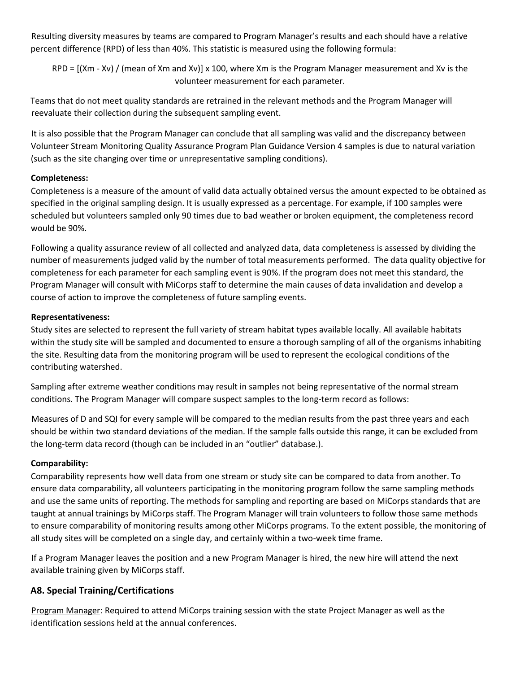Resulting diversity measures by teams are compared to Program Manager's results and each should have a relative percent difference (RPD) of less than 40%. This statistic is measured using the following formula:

 $RPD = [(Xm - Xv) / (mean of Xm and Xv)] \times 100$ , where Xm is the Program Manager measurement and Xv is the volunteer measurement for each parameter.

Teams that do not meet quality standards are retrained in the relevant methods and the Program Manager will reevaluate their collection during the subsequent sampling event.

It is also possible that the Program Manager can conclude that all sampling was valid and the discrepancy between Volunteer Stream Monitoring Quality Assurance Program Plan Guidance Version 4 samples is due to natural variation (such as the site changing over time or unrepresentative sampling conditions).

### **Completeness:**

Completeness is a measure of the amount of valid data actually obtained versus the amount expected to be obtained as specified in the original sampling design. It is usually expressed as a percentage. For example, if 100 samples were scheduled but volunteers sampled only 90 times due to bad weather or broken equipment, the completeness record would be 90%.

Following a quality assurance review of all collected and analyzed data, data completeness is assessed by dividing the number of measurements judged valid by the number of total measurements performed. The data quality objective for completeness for each parameter for each sampling event is 90%. If the program does not meet this standard, the Program Manager will consult with MiCorps staff to determine the main causes of data invalidation and develop a course of action to improve the completeness of future sampling events.

#### **Representativeness:**

Study sites are selected to represent the full variety of stream habitat types available locally. All available habitats within the study site will be sampled and documented to ensure a thorough sampling of all of the organisms inhabiting the site. Resulting data from the monitoring program will be used to represent the ecological conditions of the contributing watershed.

Sampling after extreme weather conditions may result in samples not being representative of the normal stream conditions. The Program Manager will compare suspect samples to the long-term record as follows:

Measures of D and SQI for every sample will be compared to the median results from the past three years and each should be within two standard deviations of the median. If the sample falls outside this range, it can be excluded from the long-term data record (though can be included in an "outlier" database.).

### **Comparability:**

Comparability represents how well data from one stream or study site can be compared to data from another. To ensure data comparability, all volunteers participating in the monitoring program follow the same sampling methods and use the same units of reporting. The methods for sampling and reporting are based on MiCorps standards that are taught at annual trainings by MiCorps staff. The Program Manager will train volunteers to follow those same methods to ensure comparability of monitoring results among other MiCorps programs. To the extent possible, the monitoring of all study sites will be completed on a single day, and certainly within a two-week time frame.

If a Program Manager leaves the position and a new Program Manager is hired, the new hire will attend the next available training given by MiCorps staff.

### **A8. Special Training/Certifications**

Program Manager: Required to attend MiCorps training session with the state Project Manager as well as the identification sessions held at the annual conferences.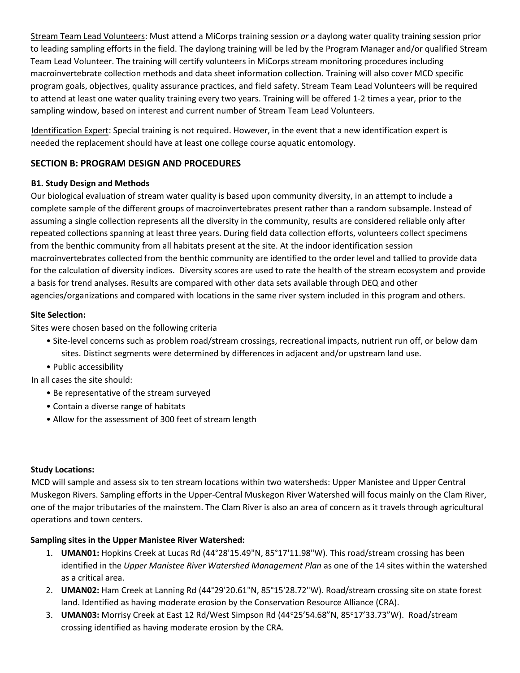Stream Team Lead Volunteers: Must attend a MiCorps training session *or* a daylong water quality training session prior to leading sampling efforts in the field. The daylong training will be led by the Program Manager and/or qualified Stream Team Lead Volunteer. The training will certify volunteers in MiCorps stream monitoring procedures including macroinvertebrate collection methods and data sheet information collection. Training will also cover MCD specific program goals, objectives, quality assurance practices, and field safety. Stream Team Lead Volunteers will be required to attend at least one water quality training every two years. Training will be offered 1-2 times a year, prior to the sampling window, based on interest and current number of Stream Team Lead Volunteers.

Identification Expert: Special training is not required. However, in the event that a new identification expert is needed the replacement should have at least one college course aquatic entomology.

### **SECTION B: PROGRAM DESIGN AND PROCEDURES**

### **B1. Study Design and Methods**

Our biological evaluation of stream water quality is based upon community diversity, in an attempt to include a complete sample of the different groups of macroinvertebrates present rather than a random subsample. Instead of assuming a single collection represents all the diversity in the community, results are considered reliable only after repeated collections spanning at least three years. During field data collection efforts, volunteers collect specimens from the benthic community from all habitats present at the site. At the indoor identification session macroinvertebrates collected from the benthic community are identified to the order level and tallied to provide data for the calculation of diversity indices. Diversity scores are used to rate the health of the stream ecosystem and provide a basis for trend analyses. Results are compared with other data sets available through DEQ and other agencies/organizations and compared with locations in the same river system included in this program and others.

### **Site Selection:**

Sites were chosen based on the following criteria

- Site-level concerns such as problem road/stream crossings, recreational impacts, nutrient run off, or below dam sites. Distinct segments were determined by differences in adjacent and/or upstream land use.
- Public accessibility

In all cases the site should:

- Be representative of the stream surveyed
- Contain a diverse range of habitats
- Allow for the assessment of 300 feet of stream length

### **Study Locations:**

MCD will sample and assess six to ten stream locations within two watersheds: Upper Manistee and Upper Central Muskegon Rivers. Sampling efforts in the Upper-Central Muskegon River Watershed will focus mainly on the Clam River, one of the major tributaries of the mainstem. The Clam River is also an area of concern as it travels through agricultural operations and town centers.

### **Sampling sites in the Upper Manistee River Watershed:**

- 1. **UMAN01:** Hopkins Creek at Lucas Rd (44°28'15.49"N, 85°17'11.98"W). This road/stream crossing has been identified in the *Upper Manistee River Watershed Management Plan* as one of the 14 sites within the watershed as a critical area.
- 2. **UMAN02:** Ham Creek at Lanning Rd (44°29'20.61"N, 85°15'28.72"W). Road/stream crossing site on state forest land. Identified as having moderate erosion by the Conservation Resource Alliance (CRA).
- 3. **UMAN03:** Morrisy Creek at East 12 Rd/West Simpson Rd (44°25'54.68"N, 85°17'33.73"W). Road/stream crossing identified as having moderate erosion by the CRA.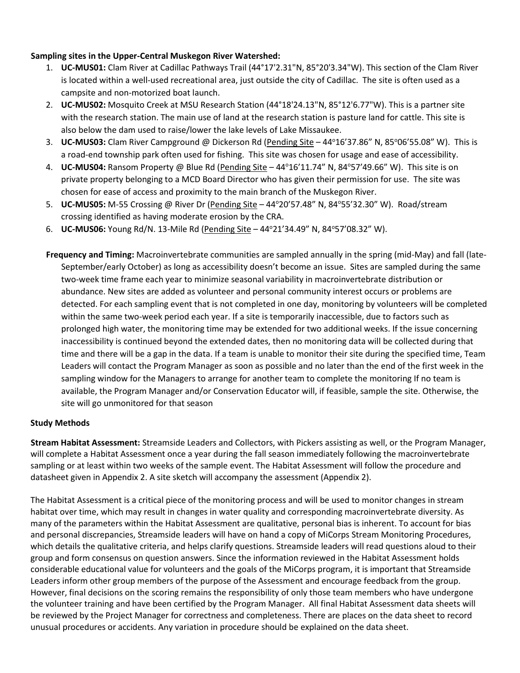### **Sampling sites in the Upper-Central Muskegon River Watershed:**

- 1. **UC-MUS01:** Clam River at Cadillac Pathways Trail (44°17'2.31"N, 85°20'3.34"W). This section of the Clam River is located within a well-used recreational area, just outside the city of Cadillac. The site is often used as a campsite and non-motorized boat launch.
- 2. **UC-MUS02:** Mosquito Creek at MSU Research Station (44°18'24.13"N, 85°12'6.77"W). This is a partner site with the research station. The main use of land at the research station is pasture land for cattle. This site is also below the dam used to raise/lower the lake levels of Lake Missaukee.
- 3. **UC-MUS03:** Clam River Campground @ Dickerson Rd (Pending Site 44°16'37.86" N, 85°06'55.08" W). This is a road-end township park often used for fishing. This site was chosen for usage and ease of accessibility.
- 4. **UC-MUS04:** Ransom Property @ Blue Rd (Pending Site 44°16'11.74" N, 84°57'49.66" W). This site is on private property belonging to a MCD Board Director who has given their permission for use. The site was chosen for ease of access and proximity to the main branch of the Muskegon River.
- 5. **UC-MUS05:** M-55 Crossing @ River Dr (Pending Site 44°20'57.48" N, 84°55'32.30" W). Road/stream crossing identified as having moderate erosion by the CRA.
- 6. **UC-MUS06:** Young Rd/N. 13-Mile Rd (Pending Site 44°21'34.49" N, 84°57'08.32" W).
- **Frequency and Timing:** Macroinvertebrate communities are sampled annually in the spring (mid-May) and fall (late-September/early October) as long as accessibility doesn't become an issue. Sites are sampled during the same two-week time frame each year to minimize seasonal variability in macroinvertebrate distribution or abundance. New sites are added as volunteer and personal community interest occurs or problems are detected. For each sampling event that is not completed in one day, monitoring by volunteers will be completed within the same two-week period each year. If a site is temporarily inaccessible, due to factors such as prolonged high water, the monitoring time may be extended for two additional weeks. If the issue concerning inaccessibility is continued beyond the extended dates, then no monitoring data will be collected during that time and there will be a gap in the data. If a team is unable to monitor their site during the specified time, Team Leaders will contact the Program Manager as soon as possible and no later than the end of the first week in the sampling window for the Managers to arrange for another team to complete the monitoring If no team is available, the Program Manager and/or Conservation Educator will, if feasible, sample the site. Otherwise, the site will go unmonitored for that season

#### **Study Methods**

**Stream Habitat Assessment:** Streamside Leaders and Collectors, with Pickers assisting as well, or the Program Manager, will complete a Habitat Assessment once a year during the fall season immediately following the macroinvertebrate sampling or at least within two weeks of the sample event. The Habitat Assessment will follow the procedure and datasheet given in Appendix 2. A site sketch will accompany the assessment (Appendix 2).

The Habitat Assessment is a critical piece of the monitoring process and will be used to monitor changes in stream habitat over time, which may result in changes in water quality and corresponding macroinvertebrate diversity. As many of the parameters within the Habitat Assessment are qualitative, personal bias is inherent. To account for bias and personal discrepancies, Streamside leaders will have on hand a copy of MiCorps Stream Monitoring Procedures, which details the qualitative criteria, and helps clarify questions. Streamside leaders will read questions aloud to their group and form consensus on question answers. Since the information reviewed in the Habitat Assessment holds considerable educational value for volunteers and the goals of the MiCorps program, it is important that Streamside Leaders inform other group members of the purpose of the Assessment and encourage feedback from the group. However, final decisions on the scoring remains the responsibility of only those team members who have undergone the volunteer training and have been certified by the Program Manager. All final Habitat Assessment data sheets will be reviewed by the Project Manager for correctness and completeness. There are places on the data sheet to record unusual procedures or accidents. Any variation in procedure should be explained on the data sheet.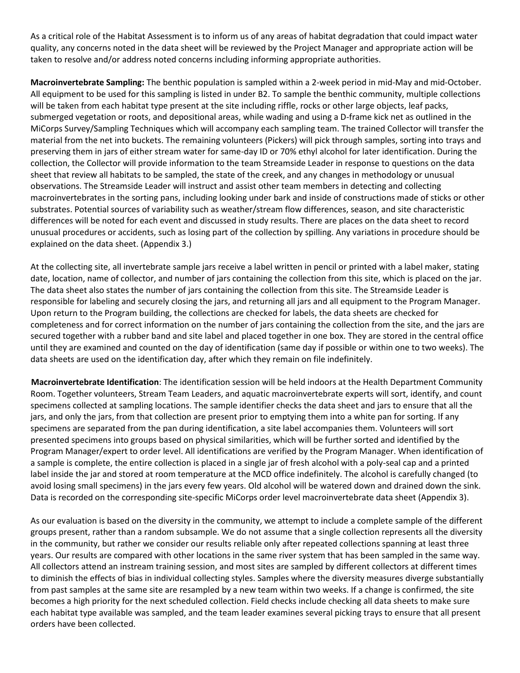As a critical role of the Habitat Assessment is to inform us of any areas of habitat degradation that could impact water quality, any concerns noted in the data sheet will be reviewed by the Project Manager and appropriate action will be taken to resolve and/or address noted concerns including informing appropriate authorities.

**Macroinvertebrate Sampling:** The benthic population is sampled within a 2-week period in mid-May and mid-October. All equipment to be used for this sampling is listed in under B2. To sample the benthic community, multiple collections will be taken from each habitat type present at the site including riffle, rocks or other large objects, leaf packs, submerged vegetation or roots, and depositional areas, while wading and using a D-frame kick net as outlined in the MiCorps Survey/Sampling Techniques which will accompany each sampling team. The trained Collector will transfer the material from the net into buckets. The remaining volunteers (Pickers) will pick through samples, sorting into trays and preserving them in jars of either stream water for same-day ID or 70% ethyl alcohol for later identification. During the collection, the Collector will provide information to the team Streamside Leader in response to questions on the data sheet that review all habitats to be sampled, the state of the creek, and any changes in methodology or unusual observations. The Streamside Leader will instruct and assist other team members in detecting and collecting macroinvertebrates in the sorting pans, including looking under bark and inside of constructions made of sticks or other substrates. Potential sources of variability such as weather/stream flow differences, season, and site characteristic differences will be noted for each event and discussed in study results. There are places on the data sheet to record unusual procedures or accidents, such as losing part of the collection by spilling. Any variations in procedure should be explained on the data sheet. (Appendix 3.)

At the collecting site, all invertebrate sample jars receive a label written in pencil or printed with a label maker, stating date, location, name of collector, and number of jars containing the collection from this site, which is placed on the jar. The data sheet also states the number of jars containing the collection from this site. The Streamside Leader is responsible for labeling and securely closing the jars, and returning all jars and all equipment to the Program Manager. Upon return to the Program building, the collections are checked for labels, the data sheets are checked for completeness and for correct information on the number of jars containing the collection from the site, and the jars are secured together with a rubber band and site label and placed together in one box. They are stored in the central office until they are examined and counted on the day of identification (same day if possible or within one to two weeks). The data sheets are used on the identification day, after which they remain on file indefinitely.

**Macroinvertebrate Identification**: The identification session will be held indoors at the Health Department Community Room. Together volunteers, Stream Team Leaders, and aquatic macroinvertebrate experts will sort, identify, and count specimens collected at sampling locations. The sample identifier checks the data sheet and jars to ensure that all the jars, and only the jars, from that collection are present prior to emptying them into a white pan for sorting. If any specimens are separated from the pan during identification, a site label accompanies them. Volunteers will sort presented specimens into groups based on physical similarities, which will be further sorted and identified by the Program Manager/expert to order level. All identifications are verified by the Program Manager. When identification of a sample is complete, the entire collection is placed in a single jar of fresh alcohol with a poly-seal cap and a printed label inside the jar and stored at room temperature at the MCD office indefinitely. The alcohol is carefully changed (to avoid losing small specimens) in the jars every few years. Old alcohol will be watered down and drained down the sink. Data is recorded on the corresponding site-specific MiCorps order level macroinvertebrate data sheet (Appendix 3).

As our evaluation is based on the diversity in the community, we attempt to include a complete sample of the different groups present, rather than a random subsample. We do not assume that a single collection represents all the diversity in the community, but rather we consider our results reliable only after repeated collections spanning at least three years. Our results are compared with other locations in the same river system that has been sampled in the same way. All collectors attend an instream training session, and most sites are sampled by different collectors at different times to diminish the effects of bias in individual collecting styles. Samples where the diversity measures diverge substantially from past samples at the same site are resampled by a new team within two weeks. If a change is confirmed, the site becomes a high priority for the next scheduled collection. Field checks include checking all data sheets to make sure each habitat type available was sampled, and the team leader examines several picking trays to ensure that all present orders have been collected.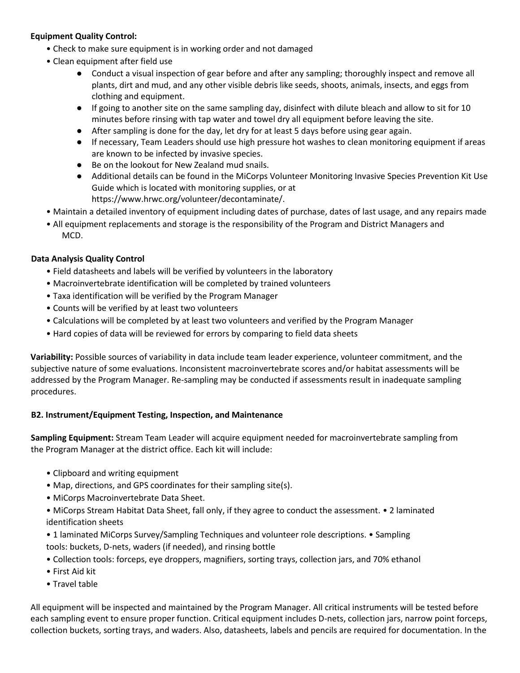#### **Equipment Quality Control:**

- Check to make sure equipment is in working order and not damaged
- Clean equipment after field use
	- Conduct a visual inspection of gear before and after any sampling; thoroughly inspect and remove all plants, dirt and mud, and any other visible debris like seeds, shoots, animals, insects, and eggs from clothing and equipment.
	- If going to another site on the same sampling day, disinfect with dilute bleach and allow to sit for 10 minutes before rinsing with tap water and towel dry all equipment before leaving the site.
	- After sampling is done for the day, let dry for at least 5 days before using gear again.
	- If necessary, Team Leaders should use high pressure hot washes to clean monitoring equipment if areas are known to be infected by invasive species.
	- Be on the lookout for New Zealand mud snails.
	- Additional details can be found in the MiCorps Volunteer Monitoring Invasive Species Prevention Kit Use Guide which is located with monitoring supplies, or at https://www.hrwc.org/volunteer/decontaminate/.
- Maintain a detailed inventory of equipment including dates of purchase, dates of last usage, and any repairs made
- All equipment replacements and storage is the responsibility of the Program and District Managers and MCD.

#### **Data Analysis Quality Control**

- Field datasheets and labels will be verified by volunteers in the laboratory
- Macroinvertebrate identification will be completed by trained volunteers
- Taxa identification will be verified by the Program Manager
- Counts will be verified by at least two volunteers
- Calculations will be completed by at least two volunteers and verified by the Program Manager
- Hard copies of data will be reviewed for errors by comparing to field data sheets

**Variability:** Possible sources of variability in data include team leader experience, volunteer commitment, and the subjective nature of some evaluations. Inconsistent macroinvertebrate scores and/or habitat assessments will be addressed by the Program Manager. Re-sampling may be conducted if assessments result in inadequate sampling procedures.

#### **B2. Instrument/Equipment Testing, Inspection, and Maintenance**

**Sampling Equipment:** Stream Team Leader will acquire equipment needed for macroinvertebrate sampling from the Program Manager at the district office. Each kit will include:

- Clipboard and writing equipment
- Map, directions, and GPS coordinates for their sampling site(s).
- MiCorps Macroinvertebrate Data Sheet.
- MiCorps Stream Habitat Data Sheet, fall only, if they agree to conduct the assessment. 2 laminated identification sheets
- 1 laminated MiCorps Survey/Sampling Techniques and volunteer role descriptions. Sampling tools: buckets, D-nets, waders (if needed), and rinsing bottle
- Collection tools: forceps, eye droppers, magnifiers, sorting trays, collection jars, and 70% ethanol
- First Aid kit
- Travel table

All equipment will be inspected and maintained by the Program Manager. All critical instruments will be tested before each sampling event to ensure proper function. Critical equipment includes D-nets, collection jars, narrow point forceps, collection buckets, sorting trays, and waders. Also, datasheets, labels and pencils are required for documentation. In the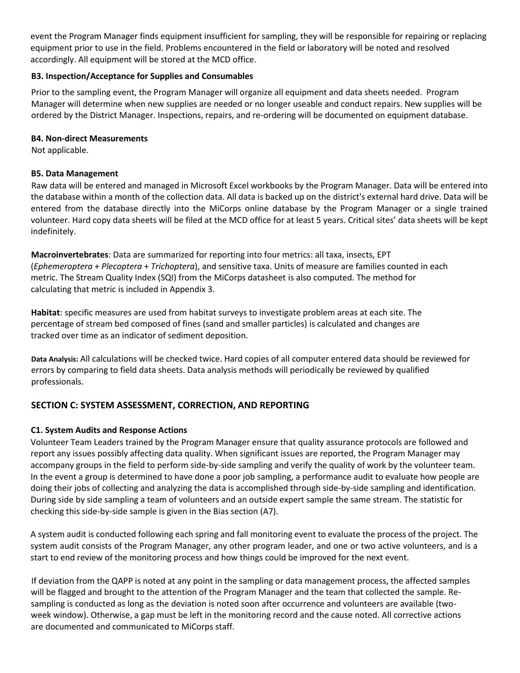event the Program Manager finds equipment insufficient for sampling, they will be responsible for repairing or replacing equipment prior to use in the field. Problems encountered in the field or laboratory will be noted and resolved accordingly. All equipment will be stored at the MCD office.

#### **B3. Inspection/Acceptance for Supplies and Consumables**

Prior to the sampling event, the Program Manager will organize all equipment and data sheets needed. Program Manager will determine when new supplies are needed or no longer useable and conduct repairs. New supplies will be ordered by the District Manager. Inspections, repairs, and re-ordering will be documented on equipment database.

#### **B4. Non-direct Measurements**

Not applicable.

### **B5. Data Management**

Raw data will be entered and managed in Microsoft Excel workbooks by the Program Manager. Data will be entered into the database within a month of the collection data. All data is backed up on the district's external hard drive. Data will be entered from the database directly into the MiCorps online database by the Program Manager or a single trained volunteer. Hard copy data sheets will be filed at the MCD office for at least 5 years. Critical sites' data sheets will be kept indefinitely.

**Macroinvertebrates**: Data are summarized for reporting into four metrics: all taxa, insects, EPT (*Ephemeroptera* + *Plecoptera* + *Trichoptera*), and sensitive taxa. Units of measure are families counted in each metric. The Stream Quality Index (SQI) from the MiCorps datasheet is also computed. The method for calculating that metric is included in Appendix 3.

**Habitat**: specific measures are used from habitat surveys to investigate problem areas at each site. The percentage of stream bed composed of fines (sand and smaller particles) is calculated and changes are tracked over time as an indicator of sediment deposition.

**Data Analysis:** All calculations will be checked twice. Hard copies of all computer entered data should be reviewed for errors by comparing to field data sheets. Data analysis methods will periodically be reviewed by qualified professionals.

### **SECTION C: SYSTEM ASSESSMENT, CORRECTION, AND REPORTING**

### **C1. System Audits and Response Actions**

Volunteer Team Leaders trained by the Program Manager ensure that quality assurance protocols are followed and report any issues possibly affecting data quality. When significant issues are reported, the Program Manager may accompany groups in the field to perform side-by-side sampling and verify the quality of work by the volunteer team. In the event a group is determined to have done a poor job sampling, a performance audit to evaluate how people are doing their jobs of collecting and analyzing the data is accomplished through side-by-side sampling and identification. During side by side sampling a team of volunteers and an outside expert sample the same stream. The statistic for checking this side-by-side sample is given in the Bias section (A7).

A system audit is conducted following each spring and fall monitoring event to evaluate the process of the project. The system audit consists of the Program Manager, any other program leader, and one or two active volunteers, and is a start to end review of the monitoring process and how things could be improved for the next event.

If deviation from the QAPP is noted at any point in the sampling or data management process, the affected samples will be flagged and brought to the attention of the Program Manager and the team that collected the sample. Resampling is conducted as long as the deviation is noted soon after occurrence and volunteers are available (twoweek window). Otherwise, a gap must be left in the monitoring record and the cause noted. All corrective actions are documented and communicated to MiCorps staff.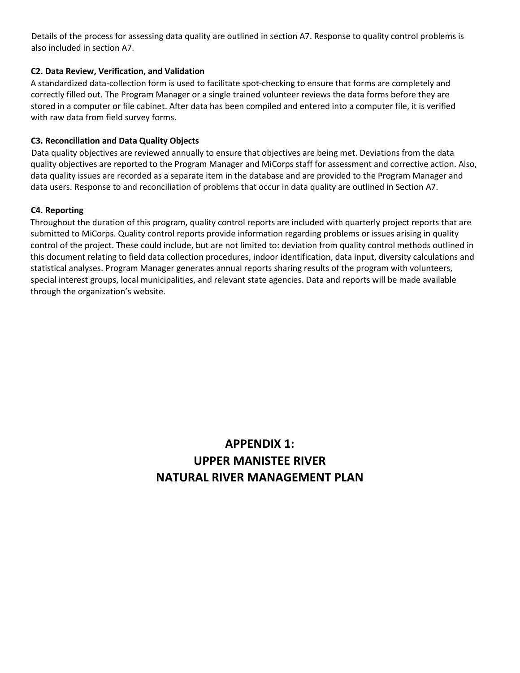Details of the process for assessing data quality are outlined in section A7. Response to quality control problems is also included in section A7.

#### **C2. Data Review, Verification, and Validation**

A standardized data-collection form is used to facilitate spot-checking to ensure that forms are completely and correctly filled out. The Program Manager or a single trained volunteer reviews the data forms before they are stored in a computer or file cabinet. After data has been compiled and entered into a computer file, it is verified with raw data from field survey forms.

#### **C3. Reconciliation and Data Quality Objects**

Data quality objectives are reviewed annually to ensure that objectives are being met. Deviations from the data quality objectives are reported to the Program Manager and MiCorps staff for assessment and corrective action. Also, data quality issues are recorded as a separate item in the database and are provided to the Program Manager and data users. Response to and reconciliation of problems that occur in data quality are outlined in Section A7.

#### **C4. Reporting**

Throughout the duration of this program, quality control reports are included with quarterly project reports that are submitted to MiCorps. Quality control reports provide information regarding problems or issues arising in quality control of the project. These could include, but are not limited to: deviation from quality control methods outlined in this document relating to field data collection procedures, indoor identification, data input, diversity calculations and statistical analyses. Program Manager generates annual reports sharing results of the program with volunteers, special interest groups, local municipalities, and relevant state agencies. Data and reports will be made available through the organization's website.

# **APPENDIX 1: UPPER MANISTEE RIVER NATURAL RIVER MANAGEMENT PLAN**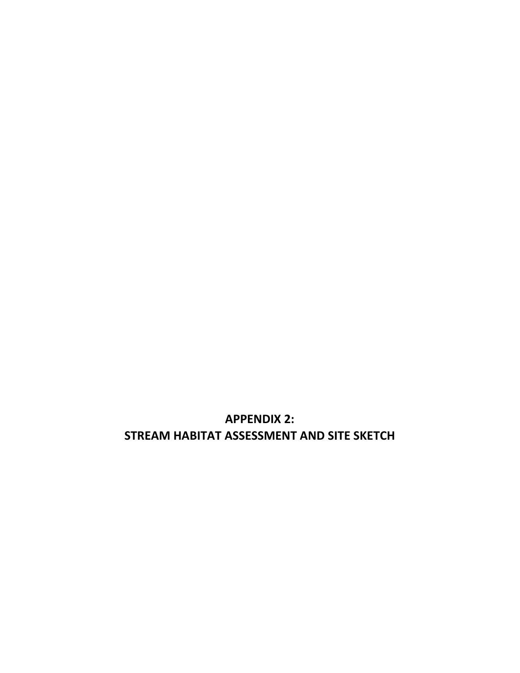**APPENDIX 2: STREAM HABITAT ASSESSMENT AND SITE SKETCH**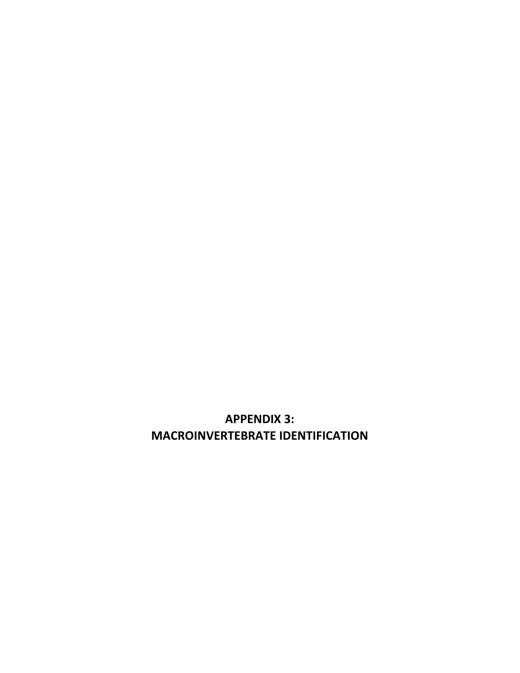**APPENDIX 3: MACROINVERTEBRATE IDENTIFICATION**